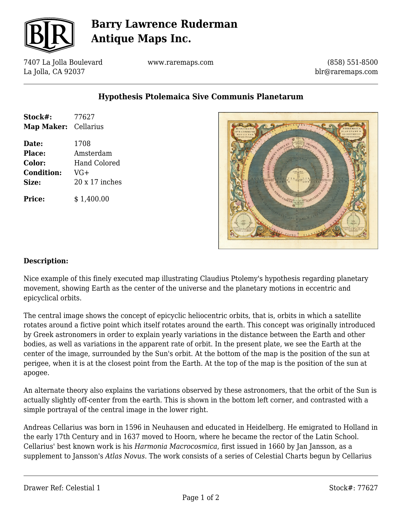

# **Barry Lawrence Ruderman Antique Maps Inc.**

7407 La Jolla Boulevard La Jolla, CA 92037

www.raremaps.com

(858) 551-8500 blr@raremaps.com

### **Hypothesis Ptolemaica Sive Communis Planetarum**

| Stock#:              | 77627                 |
|----------------------|-----------------------|
| Map Maker: Cellarius |                       |
| Date:                | 1708                  |
| Place:               | Amsterdam             |
| Color:               | Hand Colored          |
| <b>Condition:</b>    | $VG+$                 |
| Size:                | $20 \times 17$ inches |
| <b>Price:</b>        | \$1,400.00            |



#### **Description:**

Nice example of this finely executed map illustrating Claudius Ptolemy's hypothesis regarding planetary movement, showing Earth as the center of the universe and the planetary motions in eccentric and epicyclical orbits.

The central image shows the concept of epicyclic heliocentric orbits, that is, orbits in which a satellite rotates around a fictive point which itself rotates around the earth. This concept was originally introduced by Greek astronomers in order to explain yearly variations in the distance between the Earth and other bodies, as well as variations in the apparent rate of orbit. In the present plate, we see the Earth at the center of the image, surrounded by the Sun's orbit. At the bottom of the map is the position of the sun at perigee, when it is at the closest point from the Earth. At the top of the map is the position of the sun at apogee.

An alternate theory also explains the variations observed by these astronomers, that the orbit of the Sun is actually slightly off-center from the earth. This is shown in the bottom left corner, and contrasted with a simple portrayal of the central image in the lower right.

Andreas Cellarius was born in 1596 in Neuhausen and educated in Heidelberg. He emigrated to Holland in the early 17th Century and in 1637 moved to Hoorn, where he became the rector of the Latin School. Cellarius' best known work is his *Harmonia Macrocosmica*, first issued in 1660 by Jan Jansson, as a supplement to Jansson's *Atlas Novus*. The work consists of a series of Celestial Charts begun by Cellarius